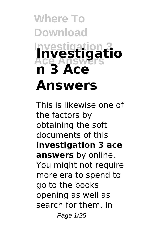## **Where To Download Investigation Ace Answers Investigatio n 3 Ace Answers**

This is likewise one of the factors by obtaining the soft documents of this **investigation 3 ace answers** by online. You might not require more era to spend to go to the books opening as well as search for them. In Page 1/25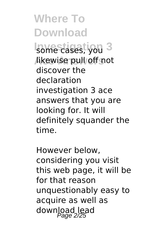**Investigation 3** some cases, you likewise pull off not discover the declaration investigation 3 ace answers that you are looking for. It will definitely squander the time.

However below, considering you visit this web page, it will be for that reason unquestionably easy to acquire as well as download lead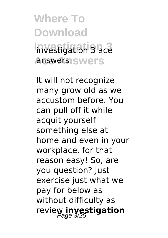**Where To Download Investigation 3** investigation 3 ace answers<sub>1</sub>swers

It will not recognize many grow old as we accustom before. You can pull off it while acquit yourself something else at home and even in your workplace. for that reason easy! So, are you question? Just exercise just what we pay for below as without difficulty as review **investigation**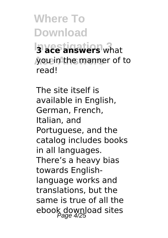**Where To Download Investigation 3 3 ace answers** what you in the manner of to read!

The site itself is available in English, German, French, Italian, and Portuguese, and the catalog includes books in all languages. There's a heavy bias towards Englishlanguage works and translations, but the same is true of all the ebook download sites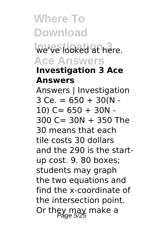**Where To Download We've looked at here. Ace Answers Investigation 3 Ace Answers** Answers | Investigation  $3$  Ce. = 650 + 30(N - $10)$  C= 650 + 30N - $300 C = 30N + 350$  The 30 means that each tile costs 30 dollars and the 290 is the startup cost. 9. 80 boxes; students may graph the two equations and find the x-coordinate of the intersection point. Or they may make a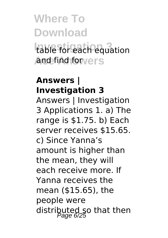# **Where To Download Investigation 3** table for each equation

And find for vers

#### **Answers | Investigation 3**

Answers | Investigation 3 Applications 1. a) The range is \$1.75. b) Each server receives \$15.65. c) Since Yanna's amount is higher than the mean, they will each receive more. If Yanna receives the mean (\$15.65), the people were distributed so that then<br>Page 6/25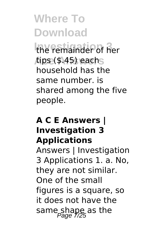**Investigation 3** the remainder of her **Ace Answers** tips (\$.45) each household has the same number. is shared among the five people.

#### **A C E Answers | Investigation 3 Applications**

Answers | Investigation 3 Applications 1. a. No, they are not similar. One of the small figures is a square, so it does not have the same shape as the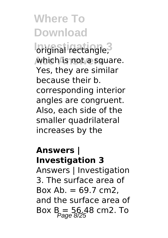*<u><b>Iniginal rectangle*</u> **which is not a square.** Yes, they are similar because their b. corresponding interior angles are congruent. Also, each side of the smaller quadrilateral increases by the

#### **Answers | Investigation 3**

Answers | Investigation 3. The surface area of Box Ab.  $= 69.7$  cm2. and the surface area of Box  $B = 56.48$  cm2. To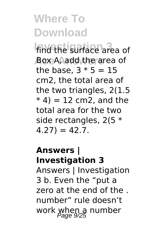find the surface area of **Ace Answers** Box A, add the area of the base,  $3 * 5 = 15$ cm2, the total area of the two triangles, 2(1.5  $*$  4) = 12 cm2, and the total area for the two side rectangles, 2(5 \*  $4.27$ ) = 42.7.

#### **Answers | Investigation 3**

Answers | Investigation 3 b. Even the "put a zero at the end of the . number" rule doesn't work when a number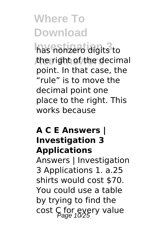has nonzero digits<sup>3</sup> to the right of the decimal point. In that case, the "rule" is to move the decimal point one place to the right. This works because

#### **A C E Answers | Investigation 3 Applications**

Answers | Investigation 3 Applications 1. a.25 shirts would cost \$70. You could use a table by trying to find the cost C for every value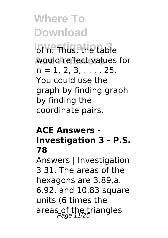**Ior n. Thus, the table** would reflect values for  $n = 1, 2, 3, \ldots$ , 25. You could use the graph by finding graph by finding the coordinate pairs.

#### **ACE Answers - Investigation 3 - P.S. 78**

Answers | Investigation 3 31. The areas of the hexagons are 3.89,a. 6.92, and 10.83 square units (6 times the areas of the triangles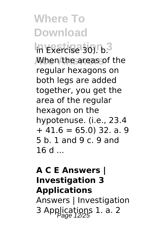**Investigation 3** in Exercise 30). b. When the areas of the regular hexagons on both legs are added together, you get the area of the regular hexagon on the hypotenuse. (i.e., 23.4  $+41.6 = 65.0$ ) 32. a. 9 5 b. 1 and 9 c. 9 and  $16d$ 

#### **A C E Answers | Investigation 3 Applications**

Answers | Investigation 3 Applications 1. a. 2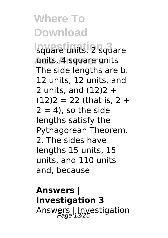**Investigation 3** square units, 2 square **Ace Answers** units, 4 square units The side lengths are b. 12 units, 12 units, and 2 units, and  $(12)2 +$  $(12)2 = 22$  (that is, 2 +  $2 = 4$ ), so the side lengths satisfy the Pythagorean Theorem. 2. The sides have lengths 15 units, 15 units, and 110 units and, because

#### **Answers | Investigation 3** Answers | Investigation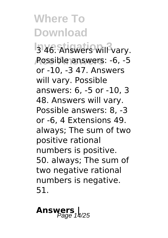**3 46. Answers will vary. Ace Answers** Possible answers: -6, -5 or -10, -3 47. Answers will vary. Possible answers: 6, -5 or -10, 3 48. Answers will vary. Possible answers: 8, -3 or -6, 4 Extensions 49. always; The sum of two positive rational numbers is positive. 50. always; The sum of two negative rational numbers is negative. 51.

## Answers  $\frac{1}{425}$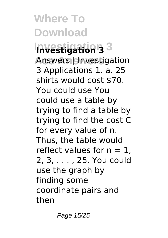**Investigation 3 Investigation 3** Answers | Investigation 3 Applications 1. a. 25 shirts would cost \$70. You could use You could use a table by trying to find a table by trying to find the cost C for every value of n. Thus, the table would reflect values for  $n = 1$ . 2, 3, . . . , 25. You could use the graph by finding some coordinate pairs and then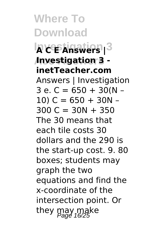**Where To Download Investigation 3 A C E Answers | Ace Answers Investigation 3 inetTeacher.com** Answers | Investigation  $3$  e. C = 650 + 30(N –  $10) C = 650 + 30N 300 C = 30N + 350$ The 30 means that each tile costs 30 dollars and the 290 is the start-up cost. 9. 80 boxes; students may graph the two equations and find the x-coordinate of the intersection point. Or they may make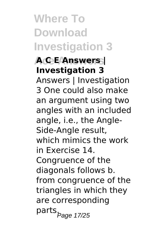## **Where To Download Investigation 3**

#### **Ace Answers A C E Answers | Investigation 3**

Answers | Investigation 3 One could also make an argument using two angles with an included angle, i.e., the Angle-Side-Angle result, which mimics the work in Exercise 14. Congruence of the diagonals follows b. from congruence of the triangles in which they are corresponding parts<sub>.Page 17/25</sub>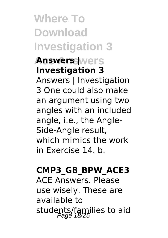**Where To Download Investigation 3 Answers Wers Investigation 3** Answers | Investigation 3 One could also make an argument using two angles with an included angle, i.e., the Angle-Side-Angle result, which mimics the work in Exercise 14. b.

#### **CMP3\_G8\_BPW\_ACE3**

ACE Answers. Please use wisely. These are available to students/families to aid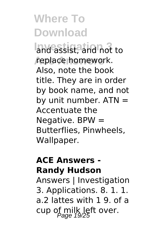**Investigation 3** and assist, and not to replace homework. Also, note the book title. They are in order by book name, and not by unit number.  $ATN =$ Accentuate the Negative.  $BPW =$ Butterflies, Pinwheels, Wallpaper.

#### **ACE Answers - Randy Hudson**

Answers | Investigation 3. Applications. 8. 1. 1. a.2 lattes with 1 9. of a cup of milk left over.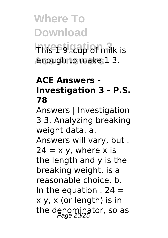## **Where To Download This 19. cup of milk is Ace Answers** enough to make 1 3.

#### **ACE Answers - Investigation 3 - P.S. 78**

Answers | Investigation 3 3. Analyzing breaking weight data. a.

Answers will vary, but .  $24 = x \vee$ , where x is the length and y is the breaking weight, is a reasonable choice. b. In the equation  $. 24 =$ x y, x (or length) is in the denominator, so as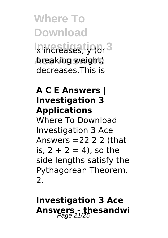**Where To Download** Ix increases, y (or 3 breaking weight) decreases.This is

#### **A C E Answers | Investigation 3 Applications**

Where To Download Investigation 3 Ace Answers  $=2222$  (that is,  $2 + 2 = 4$ ), so the side lengths satisfy the Pythagorean Theorem.  $\mathcal{P}$ 

#### **Investigation 3 Ace Answers - thesandwi**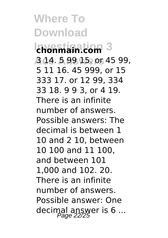**Investigation 3 chonmain.com Ace Answers** 3 14. 5 99 15. or 45 99, 5 11 16. 45 999, or 15 333 17. or 12 99, 334 33 18. 9 9 3, or 4 19. There is an infinite number of answers. Possible answers: The decimal is between 1 10 and 2 10, between 10 100 and 11 100, and between 101 1,000 and 102. 20. There is an infinite number of answers. Possible answer: One decimal answer is  $6...$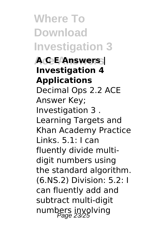**Where To Download Investigation 3 Ace Answers A C E Answers | Investigation 4 Applications** Decimal Ops 2.2 ACE Answer Key; Investigation 3 . Learning Targets and Khan Academy Practice Links. 5.1: I can fluently divide multidigit numbers using the standard algorithm. (6.NS.2) Division: 5.2: I can fluently add and subtract multi-digit numbers involving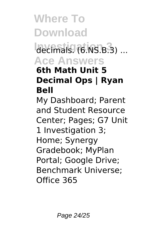### decimals. (6.NS.B.3) ... **Ace Answers**

#### **6th Math Unit 5 Decimal Ops | Ryan Bell**

My Dashboard; Parent and Student Resource Center; Pages; G7 Unit 1 Investigation 3; Home; Synergy Gradebook; MyPlan Portal; Google Drive; Benchmark Universe; Office 365